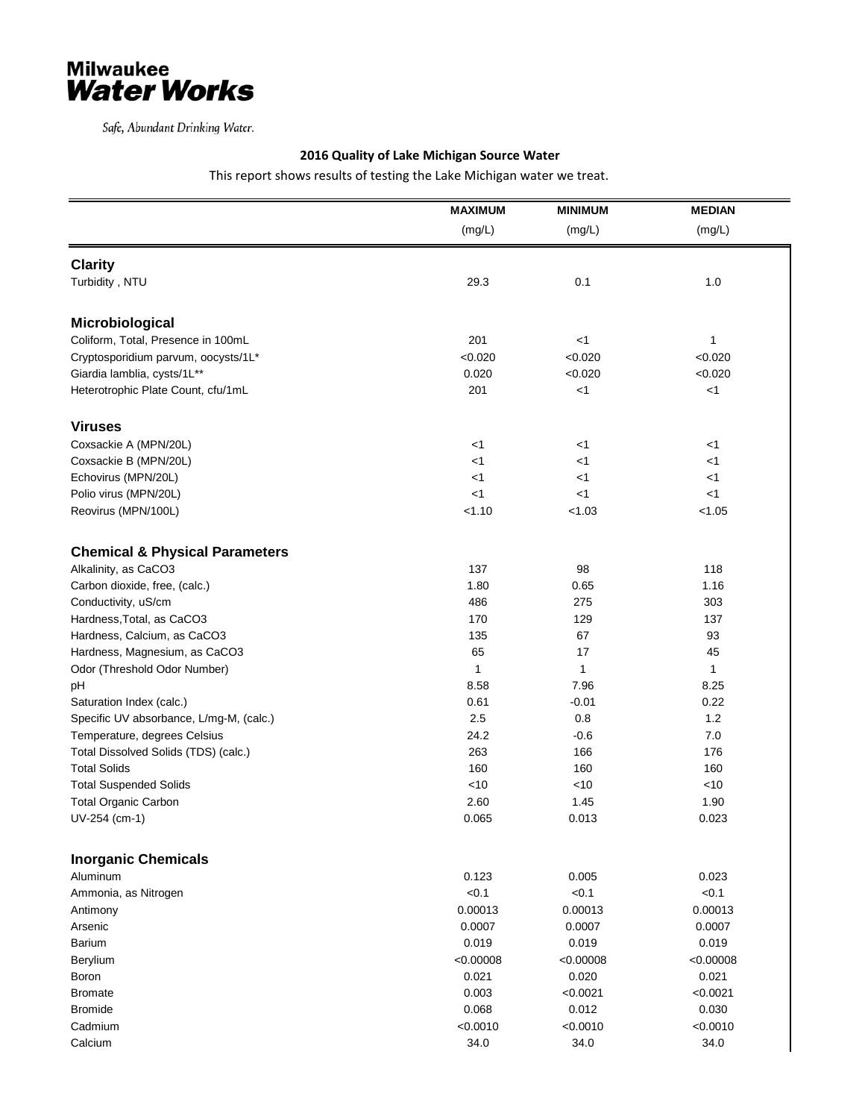

Safe, Abundant Drinking Water.

## **2016 Quality of Lake Michigan Source Water**

This report shows results of testing the Lake Michigan water we treat.

|                                           | <b>MAXIMUM</b> | <b>MINIMUM</b> | <b>MEDIAN</b> |
|-------------------------------------------|----------------|----------------|---------------|
|                                           | (mg/L)         | (mg/L)         | (mg/L)        |
|                                           |                |                |               |
| <b>Clarity</b>                            |                |                |               |
| Turbidity, NTU                            | 29.3           | 0.1            | 1.0           |
| Microbiological                           |                |                |               |
| Coliform, Total, Presence in 100mL        | 201            | $<$ 1          | 1             |
| Cryptosporidium parvum, oocysts/1L*       | < 0.020        | < 0.020        | < 0.020       |
| Giardia lamblia, cysts/1L**               | 0.020          | < 0.020        | < 0.020       |
| Heterotrophic Plate Count, cfu/1mL        | 201            | $<$ 1          | < 1           |
| <b>Viruses</b>                            |                |                |               |
| Coxsackie A (MPN/20L)                     | $<$ 1          | $<$ 1          | <1            |
| Coxsackie B (MPN/20L)                     | <1             | $<$ 1          | $<$ 1         |
| Echovirus (MPN/20L)                       | <1             | $<$ 1          | <1            |
| Polio virus (MPN/20L)                     | $<$ 1          | $<$ 1          | $<$ 1         |
| Reovirus (MPN/100L)                       | < 1.10         | < 1.03         | < 1.05        |
|                                           |                |                |               |
| <b>Chemical &amp; Physical Parameters</b> |                |                |               |
| Alkalinity, as CaCO3                      | 137            | 98             | 118           |
| Carbon dioxide, free, (calc.)             | 1.80           | 0.65           | 1.16          |
| Conductivity, uS/cm                       | 486            | 275            | 303           |
| Hardness, Total, as CaCO3                 | 170            | 129            | 137           |
| Hardness, Calcium, as CaCO3               | 135            | 67             | 93            |
| Hardness, Magnesium, as CaCO3             | 65             | 17             | 45            |
| Odor (Threshold Odor Number)              | 1              | 1              | 1             |
| pH                                        | 8.58           | 7.96           | 8.25          |
| Saturation Index (calc.)                  | 0.61           | $-0.01$        | 0.22          |
| Specific UV absorbance, L/mg-M, (calc.)   | 2.5            | 0.8            | 1.2           |
| Temperature, degrees Celsius              | 24.2           | $-0.6$         | 7.0           |
| Total Dissolved Solids (TDS) (calc.)      | 263            | 166            | 176           |
| <b>Total Solids</b>                       | 160            | 160            | 160           |
| <b>Total Suspended Solids</b>             | <10            | < 10           | < 10          |
| <b>Total Organic Carbon</b>               | 2.60           | 1.45           | 1.90          |
| UV-254 (cm-1)                             | 0.065          | 0.013          | 0.023         |
| <b>Inorganic Chemicals</b>                |                |                |               |
| Aluminum                                  | 0.123          | 0.005          | 0.023         |
| Ammonia, as Nitrogen                      | < 0.1          | < 0.1          | < 0.1         |
| Antimony                                  | 0.00013        | 0.00013        | 0.00013       |
| Arsenic                                   | 0.0007         | 0.0007         | 0.0007        |
| Barium                                    | 0.019          | 0.019          | 0.019         |
| Berylium                                  | < 0.00008      | < 0.00008      | < 0.00008     |
| Boron                                     | 0.021          | 0.020          | 0.021         |
| <b>Bromate</b>                            | 0.003          | < 0.0021       | < 0.0021      |
| <b>Bromide</b>                            | 0.068          | 0.012          | 0.030         |
| Cadmium                                   | < 0.0010       | < 0.0010       | < 0.0010      |
| Calcium                                   | 34.0           | 34.0           | 34.0          |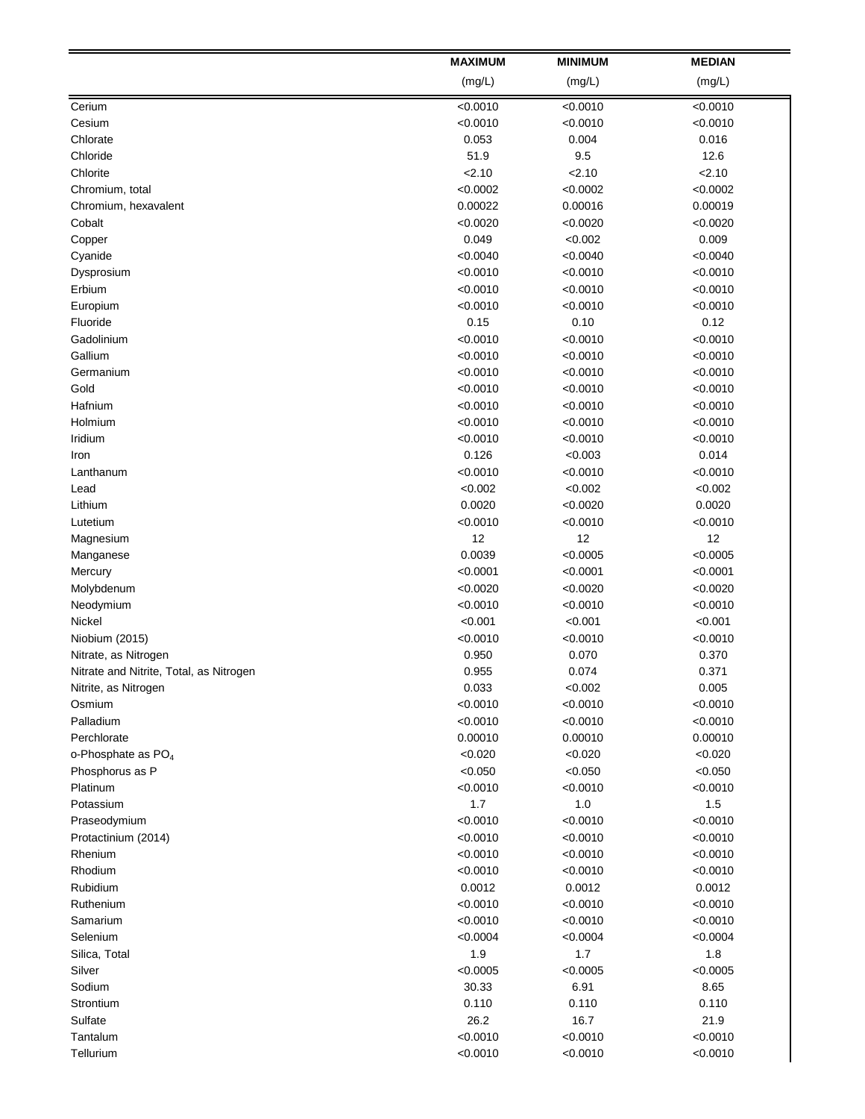|                                         | <b>MAXIMUM</b>       | <b>MINIMUM</b>       | <b>MEDIAN</b>        |
|-----------------------------------------|----------------------|----------------------|----------------------|
|                                         | (mg/L)               | (mg/L)               | (mg/L)               |
| Cerium                                  | < 0.0010             | < 0.0010             | < 0.0010             |
| Cesium                                  | < 0.0010             | < 0.0010             | < 0.0010             |
| Chlorate                                | 0.053                | 0.004                | 0.016                |
| Chloride                                | 51.9                 | 9.5                  | 12.6                 |
| Chlorite                                | 2.10                 | 2.10                 | 2.10                 |
| Chromium, total                         | < 0.0002             | < 0.0002             | < 0.0002             |
| Chromium, hexavalent                    | 0.00022              | 0.00016              | 0.00019              |
| Cobalt                                  | < 0.0020             | < 0.0020             | < 0.0020             |
| Copper                                  | 0.049                | < 0.002              | 0.009                |
| Cyanide                                 | < 0.0040             | < 0.0040             | < 0.0040             |
| Dysprosium                              | < 0.0010             | < 0.0010             | < 0.0010             |
| Erbium                                  | < 0.0010             | < 0.0010             | < 0.0010             |
| Europium                                | < 0.0010             | < 0.0010             | < 0.0010             |
| Fluoride                                | 0.15                 | 0.10                 | 0.12                 |
| Gadolinium                              | < 0.0010             | < 0.0010             | < 0.0010             |
| Gallium                                 | < 0.0010             | < 0.0010             | < 0.0010             |
| Germanium                               | < 0.0010             | < 0.0010             | < 0.0010             |
| Gold                                    | < 0.0010             | < 0.0010             | < 0.0010             |
| Hafnium                                 | < 0.0010             | < 0.0010             | < 0.0010             |
| Holmium                                 | < 0.0010             | < 0.0010             | < 0.0010             |
| Iridium                                 | < 0.0010             | < 0.0010             | < 0.0010             |
|                                         | 0.126                |                      | 0.014                |
| Iron                                    |                      | < 0.003              |                      |
| Lanthanum<br>Lead                       | < 0.0010<br>< 0.002  | < 0.0010<br>< 0.002  | < 0.0010<br>< 0.002  |
|                                         |                      |                      |                      |
| Lithium                                 | 0.0020               | < 0.0020             | 0.0020               |
| Lutetium                                | < 0.0010<br>12       | < 0.0010<br>12       | < 0.0010             |
| Magnesium                               |                      |                      | 12                   |
| Manganese                               | 0.0039               | < 0.0005             | < 0.0005             |
| Mercury                                 | < 0.0001             | < 0.0001             | < 0.0001             |
| Molybdenum                              | < 0.0020             | < 0.0020             | < 0.0020             |
| Neodymium                               | < 0.0010             | < 0.0010             | < 0.0010             |
| Nickel                                  | < 0.001              | < 0.001              | < 0.001              |
| Niobium (2015)                          | < 0.0010             | < 0.0010             | < 0.0010             |
| Nitrate, as Nitrogen                    | 0.950                | 0.070<br>0.074       | 0.370                |
| Nitrate and Nitrite, Total, as Nitrogen | 0.955                |                      | 0.371                |
| Nitrite, as Nitrogen<br>Osmium          | 0.033<br>< 0.0010    | < 0.002              | 0.005<br>< 0.0010    |
|                                         |                      | < 0.0010             | < 0.0010             |
| Palladium                               | < 0.0010             | < 0.0010             |                      |
| Perchlorate                             | 0.00010              | 0.00010              | 0.00010              |
| o-Phosphate as PO <sub>4</sub>          | < 0.020              | < 0.020              | < 0.020              |
| Phosphorus as P                         | < 0.050<br>< 0.0010  | < 0.050              | < 0.050              |
| Platinum<br>Potassium                   | 1.7                  | < 0.0010<br>1.0      | < 0.0010<br>$1.5$    |
|                                         |                      |                      |                      |
| Praseodymium<br>Protactinium (2014)     | < 0.0010<br>< 0.0010 | < 0.0010<br>< 0.0010 | < 0.0010<br>< 0.0010 |
| Rhenium                                 | < 0.0010             | < 0.0010             | < 0.0010             |
| Rhodium                                 | < 0.0010             | < 0.0010             | < 0.0010             |
| Rubidium                                | 0.0012               | 0.0012               | 0.0012               |
|                                         |                      |                      |                      |
| Ruthenium                               | < 0.0010             | < 0.0010             | < 0.0010             |
| Samarium                                | < 0.0010             | < 0.0010             | < 0.0010             |
| Selenium                                | < 0.0004             | < 0.0004             | < 0.0004             |
| Silica, Total                           | 1.9                  | $1.7$                | 1.8                  |
| Silver                                  | < 0.0005             | < 0.0005             | < 0.0005             |
| Sodium                                  | 30.33                | 6.91                 | 8.65                 |
| Strontium                               | 0.110                | 0.110                | 0.110                |
| Sulfate                                 | 26.2                 | 16.7                 | 21.9                 |
| Tantalum                                | < 0.0010             | < 0.0010             | < 0.0010             |
| Tellurium                               | < 0.0010             | < 0.0010             | < 0.0010             |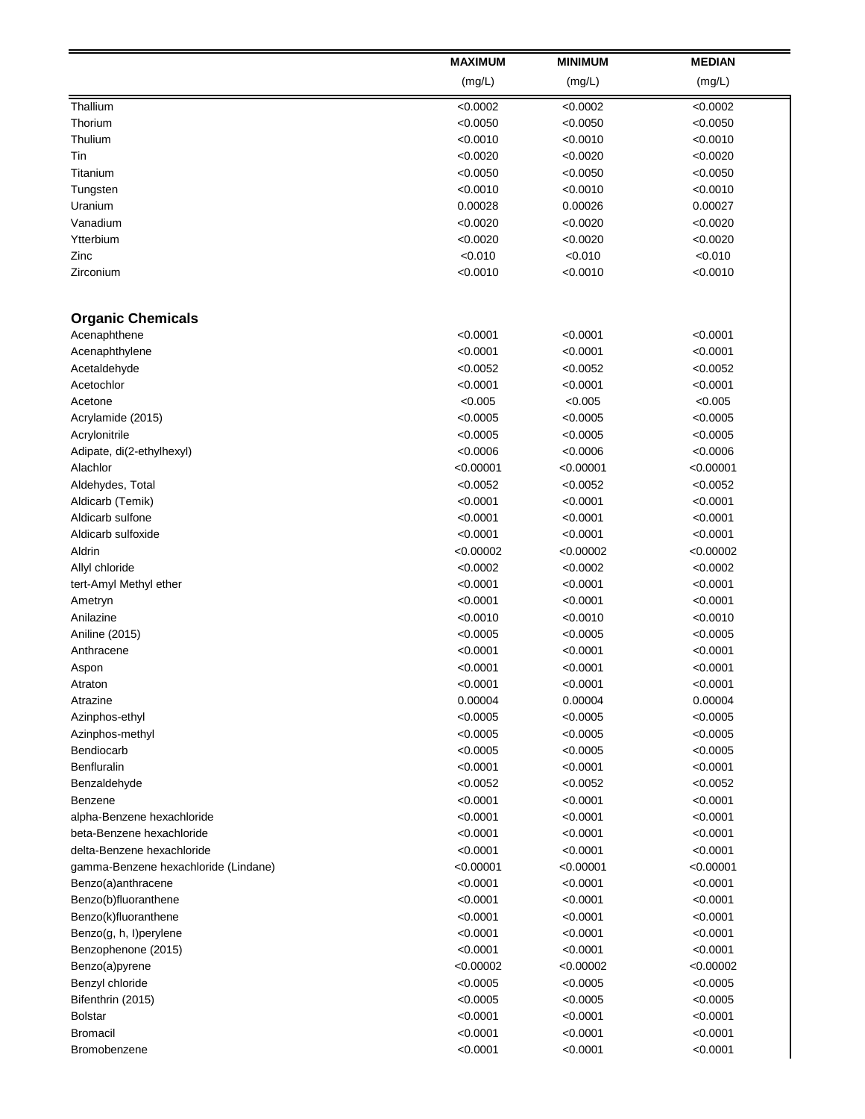|                                      | <b>MAXIMUM</b> | <b>MINIMUM</b> | <b>MEDIAN</b> |
|--------------------------------------|----------------|----------------|---------------|
|                                      | (mg/L)         | (mg/L)         | (mg/L)        |
| Thallium                             | < 0.0002       | < 0.0002       | < 0.0002      |
| Thorium                              | < 0.0050       | < 0.0050       | < 0.0050      |
| Thulium                              | < 0.0010       | < 0.0010       | < 0.0010      |
| Tin                                  | < 0.0020       | < 0.0020       | < 0.0020      |
| Titanium                             | < 0.0050       | < 0.0050       | < 0.0050      |
| Tungsten                             | < 0.0010       | < 0.0010       | < 0.0010      |
| Uranium                              | 0.00028        | 0.00026        | 0.00027       |
| Vanadium                             | < 0.0020       | < 0.0020       | <0.0020       |
| Ytterbium                            | < 0.0020       | < 0.0020       | < 0.0020      |
| Zinc                                 | < 0.010        | < 0.010        | < 0.010       |
| Zirconium                            | < 0.0010       | < 0.0010       | < 0.0010      |
|                                      |                |                |               |
| <b>Organic Chemicals</b>             |                |                |               |
| Acenaphthene                         | < 0.0001       | < 0.0001       | < 0.0001      |
| Acenaphthylene                       | < 0.0001       | < 0.0001       | < 0.0001      |
| Acetaldehyde                         | < 0.0052       | < 0.0052       | < 0.0052      |
| Acetochlor                           | < 0.0001       | < 0.0001       | < 0.0001      |
| Acetone                              | < 0.005        | < 0.005        | < 0.005       |
| Acrylamide (2015)                    | < 0.0005       | < 0.0005       | <0.0005       |
| Acrylonitrile                        | < 0.0005       | < 0.0005       | < 0.0005      |
| Adipate, di(2-ethylhexyl)            | < 0.0006       | < 0.0006       | < 0.0006      |
| Alachlor                             | < 0.00001      | < 0.00001      | < 0.00001     |
| Aldehydes, Total                     | < 0.0052       | < 0.0052       | < 0.0052      |
| Aldicarb (Temik)                     | < 0.0001       | < 0.0001       | < 0.0001      |
| Aldicarb sulfone                     | < 0.0001       | < 0.0001       | < 0.0001      |
| Aldicarb sulfoxide                   | < 0.0001       | < 0.0001       | < 0.0001      |
| Aldrin                               | < 0.00002      | < 0.00002      | < 0.00002     |
| Allyl chloride                       | < 0.0002       | < 0.0002       | < 0.0002      |
|                                      | < 0.0001       | < 0.0001       | < 0.0001      |
| tert-Amyl Methyl ether               |                |                |               |
| Ametryn                              | < 0.0001       | < 0.0001       | < 0.0001      |
| Anilazine                            | < 0.0010       | < 0.0010       | < 0.0010      |
| Aniline (2015)                       | < 0.0005       | < 0.0005       | < 0.0005      |
| Anthracene                           | < 0.0001       | < 0.0001       | < 0.0001      |
| Aspon                                | < 0.0001       | < 0.0001       | < 0.0001      |
| Atraton                              | < 0.0001       | < 0.0001       | < 0.0001      |
| Atrazine                             | 0.00004        | 0.00004        | 0.00004       |
| Azinphos-ethyl                       | < 0.0005       | < 0.0005       | < 0.0005      |
| Azinphos-methyl                      | < 0.0005       | < 0.0005       | <0.0005       |
| Bendiocarb                           | < 0.0005       | < 0.0005       | < 0.0005      |
| Benfluralin                          | < 0.0001       | < 0.0001       | < 0.0001      |
| Benzaldehyde                         | < 0.0052       | < 0.0052       | < 0.0052      |
| Benzene                              | < 0.0001       | < 0.0001       | < 0.0001      |
| alpha-Benzene hexachloride           | < 0.0001       | < 0.0001       | < 0.0001      |
| beta-Benzene hexachloride            | < 0.0001       | < 0.0001       | < 0.0001      |
| delta-Benzene hexachloride           | < 0.0001       | < 0.0001       | < 0.0001      |
| gamma-Benzene hexachloride (Lindane) | < 0.00001      | < 0.00001      | < 0.00001     |
| Benzo(a)anthracene                   | < 0.0001       | < 0.0001       | < 0.0001      |
| Benzo(b)fluoranthene                 | < 0.0001       | < 0.0001       | < 0.0001      |
| Benzo(k)fluoranthene                 | < 0.0001       | < 0.0001       | < 0.0001      |
| Benzo(g, h, l)perylene               | < 0.0001       | < 0.0001       | < 0.0001      |
| Benzophenone (2015)                  | < 0.0001       | < 0.0001       | < 0.0001      |
| Benzo(a)pyrene                       | < 0.00002      | < 0.00002      | < 0.00002     |
| Benzyl chloride                      | < 0.0005       | < 0.0005       | < 0.0005      |
| Bifenthrin (2015)                    | < 0.0005       | < 0.0005       | < 0.0005      |
| <b>Bolstar</b>                       | < 0.0001       | < 0.0001       | < 0.0001      |
| <b>Bromacil</b>                      | < 0.0001       | < 0.0001       | < 0.0001      |
| Bromobenzene                         | < 0.0001       | < 0.0001       | < 0.0001      |
|                                      |                |                |               |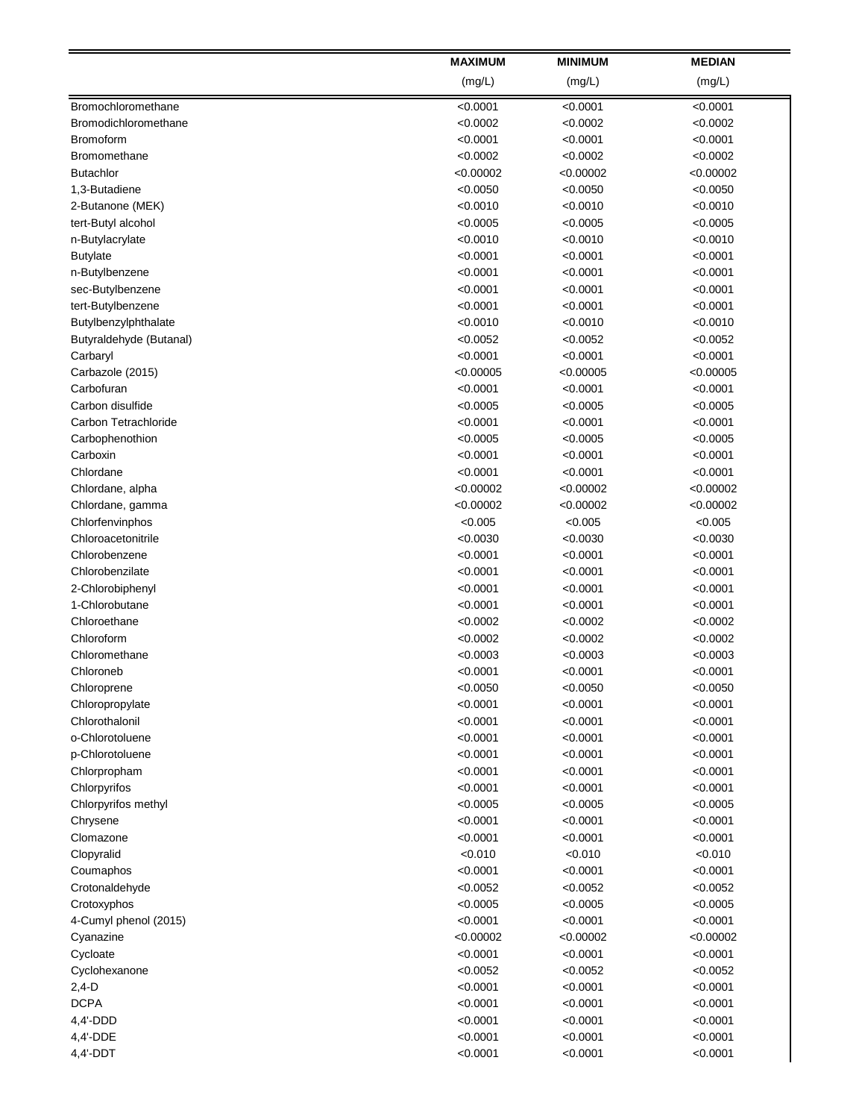|                         | <b>MAXIMUM</b> | <b>MINIMUM</b> | <b>MEDIAN</b> |
|-------------------------|----------------|----------------|---------------|
|                         | (mg/L)         | (mg/L)         | (mg/L)        |
| Bromochloromethane      | < 0.0001       | < 0.0001       | < 0.0001      |
| Bromodichloromethane    | < 0.0002       | < 0.0002       | < 0.0002      |
| <b>Bromoform</b>        | < 0.0001       | < 0.0001       | < 0.0001      |
| Bromomethane            | < 0.0002       | < 0.0002       | < 0.0002      |
| <b>Butachlor</b>        | < 0.00002      | < 0.00002      | < 0.00002     |
| 1,3-Butadiene           | < 0.0050       | < 0.0050       | < 0.0050      |
| 2-Butanone (MEK)        | < 0.0010       | < 0.0010       | < 0.0010      |
| tert-Butyl alcohol      | < 0.0005       | < 0.0005       | < 0.0005      |
| n-Butylacrylate         | < 0.0010       | < 0.0010       | < 0.0010      |
| <b>Butylate</b>         | < 0.0001       | < 0.0001       | < 0.0001      |
| n-Butylbenzene          | < 0.0001       | < 0.0001       | < 0.0001      |
| sec-Butylbenzene        | < 0.0001       | < 0.0001       | < 0.0001      |
| tert-Butylbenzene       | < 0.0001       | < 0.0001       | < 0.0001      |
| Butylbenzylphthalate    | < 0.0010       | < 0.0010       | < 0.0010      |
| Butyraldehyde (Butanal) | < 0.0052       | < 0.0052       | < 0.0052      |
| Carbaryl                | < 0.0001       | < 0.0001       | < 0.0001      |
| Carbazole (2015)        | < 0.00005      | < 0.00005      | < 0.00005     |
| Carbofuran              | < 0.0001       | < 0.0001       | < 0.0001      |
| Carbon disulfide        | < 0.0005       | < 0.0005       | < 0.0005      |
| Carbon Tetrachloride    | < 0.0001       | < 0.0001       | < 0.0001      |
| Carbophenothion         | < 0.0005       | < 0.0005       | < 0.0005      |
| Carboxin                | < 0.0001       | < 0.0001       | < 0.0001      |
| Chlordane               | < 0.0001       | < 0.0001       | < 0.0001      |
| Chlordane, alpha        | < 0.00002      | < 0.00002      | < 0.00002     |
| Chlordane, gamma        | < 0.00002      | < 0.00002      | < 0.00002     |
| Chlorfenvinphos         | < 0.005        | < 0.005        | < 0.005       |
| Chloroacetonitrile      | < 0.0030       | < 0.0030       | < 0.0030      |
| Chlorobenzene           | < 0.0001       | < 0.0001       | < 0.0001      |
| Chlorobenzilate         | < 0.0001       | < 0.0001       | < 0.0001      |
| 2-Chlorobiphenyl        | < 0.0001       | < 0.0001       | < 0.0001      |
| 1-Chlorobutane          | < 0.0001       | < 0.0001       | < 0.0001      |
| Chloroethane            | < 0.0002       | < 0.0002       | < 0.0002      |
| Chloroform              | < 0.0002       | < 0.0002       | < 0.0002      |
| Chloromethane           | < 0.0003       | < 0.0003       | < 0.0003      |
| Chloroneb               | < 0.0001       | < 0.0001       | < 0.0001      |
| Chloroprene             | < 0.0050       | < 0.0050       | < 0.0050      |
| Chloropropylate         | < 0.0001       | < 0.0001       | < 0.0001      |
| Chlorothalonil          | < 0.0001       | < 0.0001       | < 0.0001      |
| o-Chlorotoluene         | < 0.0001       | < 0.0001       | < 0.0001      |
| p-Chlorotoluene         | < 0.0001       | < 0.0001       | < 0.0001      |
| Chlorpropham            | < 0.0001       | < 0.0001       | < 0.0001      |
| Chlorpyrifos            | < 0.0001       | < 0.0001       | < 0.0001      |
| Chlorpyrifos methyl     | < 0.0005       | < 0.0005       | < 0.0005      |
| Chrysene                | < 0.0001       | < 0.0001       | < 0.0001      |
| Clomazone               | < 0.0001       | < 0.0001       | < 0.0001      |
| Clopyralid              | < 0.010        | < 0.010        | < 0.010       |
| Coumaphos               | < 0.0001       | < 0.0001       | < 0.0001      |
| Crotonaldehyde          | < 0.0052       | < 0.0052       | < 0.0052      |
| Crotoxyphos             | < 0.0005       | < 0.0005       | < 0.0005      |
| 4-Cumyl phenol (2015)   | < 0.0001       | < 0.0001       | < 0.0001      |
| Cyanazine               | < 0.00002      | < 0.00002      | < 0.00002     |
| Cycloate                | < 0.0001       | < 0.0001       | < 0.0001      |
| Cyclohexanone           | < 0.0052       | < 0.0052       | < 0.0052      |
| $2,4-D$                 | < 0.0001       | < 0.0001       | < 0.0001      |
| <b>DCPA</b>             | < 0.0001       | < 0.0001       | < 0.0001      |
| $4,4'$ -DDD             | < 0.0001       | < 0.0001       | < 0.0001      |
| 4,4'-DDE                | < 0.0001       | < 0.0001       | < 0.0001      |
| $4,4'$ -DDT             | < 0.0001       | < 0.0001       | < 0.0001      |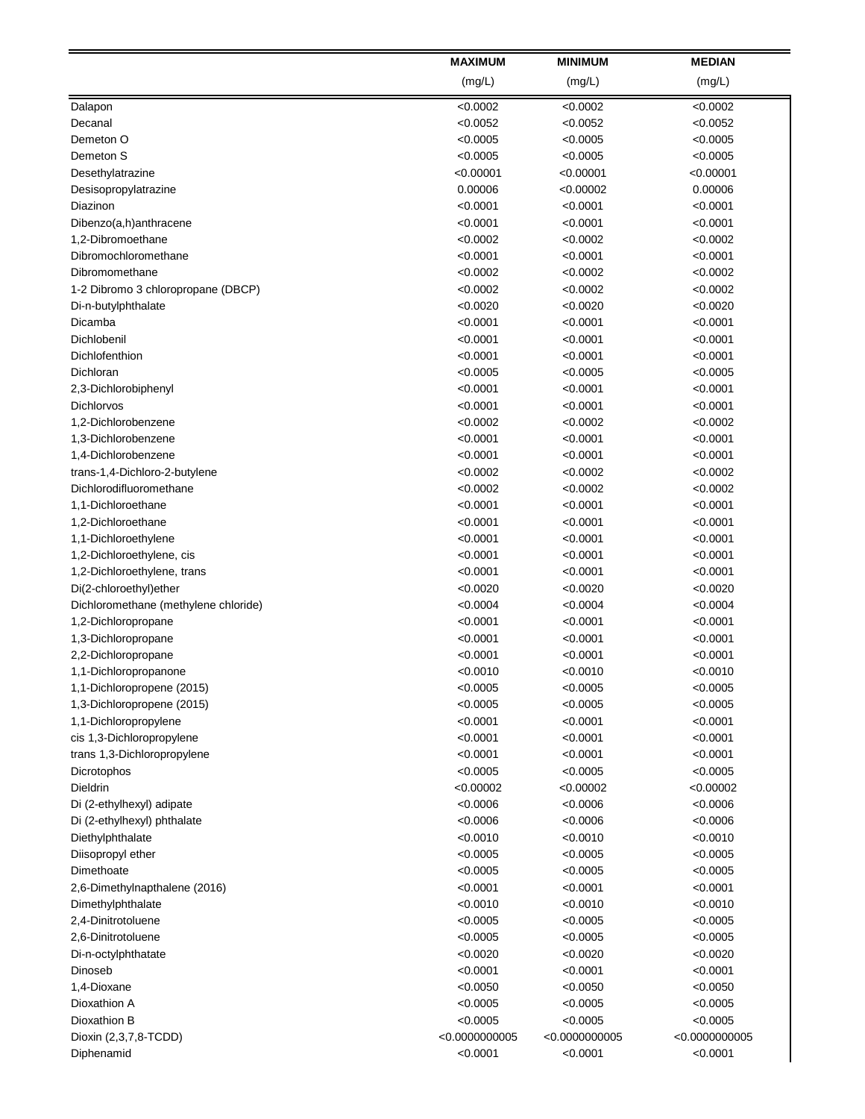|                                                 | <b>MAXIMUM</b>        | <b>MINIMUM</b>       | <b>MEDIAN</b>       |
|-------------------------------------------------|-----------------------|----------------------|---------------------|
|                                                 | (mg/L)                | (mg/L)               | (mg/L)              |
| Dalapon                                         | < 0.0002              | <0.0002              | < 0.0002            |
| Decanal                                         | < 0.0052              | <0.0052              | < 0.0052            |
| Demeton O                                       | < 0.0005              | <0.0005              | <0.0005             |
| Demeton S                                       | < 0.0005              | < 0.0005             | < 0.0005            |
| Desethylatrazine                                | < 0.00001             | < 0.00001            | < 0.00001           |
| Desisopropylatrazine                            | 0.00006               | < 0.00002            | 0.00006             |
| Diazinon                                        | < 0.0001              | < 0.0001             | < 0.0001            |
| Dibenzo(a,h)anthracene                          | < 0.0001              | < 0.0001             | < 0.0001            |
| 1,2-Dibromoethane                               | < 0.0002              | < 0.0002             | < 0.0002            |
| Dibromochloromethane                            | < 0.0001              | < 0.0001             | < 0.0001            |
| Dibromomethane                                  | < 0.0002              | < 0.0002             | < 0.0002            |
| 1-2 Dibromo 3 chloropropane (DBCP)              | < 0.0002              | < 0.0002             | < 0.0002            |
| Di-n-butylphthalate                             | < 0.0020              | < 0.0020             | < 0.0020            |
| Dicamba                                         | < 0.0001              | < 0.0001             | < 0.0001            |
| Dichlobenil                                     | < 0.0001              | < 0.0001             | $<$ 0.0001          |
| Dichlofenthion                                  | < 0.0001              | < 0.0001             | < 0.0001            |
| Dichloran                                       | < 0.0005              | < 0.0005             | < 0.0005            |
| 2,3-Dichlorobiphenyl                            | < 0.0001              | < 0.0001             | < 0.0001            |
| Dichlorvos                                      | < 0.0001              | < 0.0001             | < 0.0001            |
| 1,2-Dichlorobenzene                             | < 0.0002              | < 0.0002             | < 0.0002            |
| 1,3-Dichlorobenzene                             | < 0.0001              | < 0.0001             | < 0.0001            |
| 1,4-Dichlorobenzene                             | < 0.0001              | < 0.0001             | < 0.0001            |
| trans-1,4-Dichloro-2-butylene                   | < 0.0002              | < 0.0002             | <0.0002             |
| Dichlorodifluoromethane                         | < 0.0002              | < 0.0002             | <0.0002             |
| 1,1-Dichloroethane                              | < 0.0001              | < 0.0001             | < 0.0001            |
| 1,2-Dichloroethane                              | < 0.0001              | < 0.0001             | < 0.0001            |
| 1,1-Dichloroethylene                            | < 0.0001              | < 0.0001             | < 0.0001            |
| 1,2-Dichloroethylene, cis                       | < 0.0001              | < 0.0001             | < 0.0001            |
| 1,2-Dichloroethylene, trans                     | < 0.0001              | < 0.0001             | <0.0001             |
| Di(2-chloroethyl)ether                          | < 0.0020              | < 0.0020             | <0.0020             |
| Dichloromethane (methylene chloride)            | < 0.0004              | < 0.0004             | < 0.0004            |
| 1,2-Dichloropropane                             | < 0.0001              | < 0.0001             | < 0.0001            |
| 1,3-Dichloropropane                             | < 0.0001              | < 0.0001             | < 0.0001            |
| 2,2-Dichloropropane                             | < 0.0001              | < 0.0001             | < 0.0001            |
| 1,1-Dichloropropanone                           | < 0.0010              | < 0.0010             | < 0.0010            |
| 1,1-Dichloropropene (2015)                      | < 0.0005              | < 0.0005             | < 0.0005            |
| 1,3-Dichloropropene (2015)                      | < 0.0005              | < 0.0005             | <0.0005             |
| 1,1-Dichloropropylene                           | < 0.0001              | < 0.0001             | < 0.0001            |
| cis 1,3-Dichloropropylene                       | < 0.0001              | < 0.0001             | < 0.0001            |
| trans 1,3-Dichloropropylene                     | < 0.0001              | <0.0001              | < 0.0001            |
| Dicrotophos<br><b>Dieldrin</b>                  | < 0.0005<br>< 0.00002 | < 0.0005             | < 0.0005            |
|                                                 | < 0.0006              | <0.00002<br>< 0.0006 | < 0.00002           |
| Di (2-ethylhexyl) adipate                       | < 0.0006              | < 0.0006             | <0.0006<br>< 0.0006 |
| Di (2-ethylhexyl) phthalate<br>Diethylphthalate | < 0.0010              | < 0.0010             | < 0.0010            |
| Diisopropyl ether                               | < 0.0005              | < 0.0005             | < 0.0005            |
| Dimethoate                                      | < 0.0005              | <0.0005              | <0.0005             |
| 2,6-Dimethylnapthalene (2016)                   | < 0.0001              | <0.0001              | <0.0001             |
| Dimethylphthalate                               | < 0.0010              | < 0.0010             | <0.0010             |
| 2,4-Dinitrotoluene                              | < 0.0005              | < 0.0005             | <0.0005             |
| 2,6-Dinitrotoluene                              | < 0.0005              | < 0.0005             | < 0.0005            |
| Di-n-octylphthatate                             | < 0.0020              | < 0.0020             | < 0.0020            |
| Dinoseb                                         | < 0.0001              | < 0.0001             | <0.0001             |
| 1,4-Dioxane                                     | < 0.0050              | < 0.0050             | < 0.0050            |
| Dioxathion A                                    | < 0.0005              | < 0.0005             | <0.0005             |
| Dioxathion B                                    | < 0.0005              | < 0.0005             | < 0.0005            |
| Dioxin (2,3,7,8-TCDD)                           | < 0.0000000005        | < 0.0000000005       | < 0.0000000005      |
| Diphenamid                                      | < 0.0001              | < 0.0001             | < 0.0001            |
|                                                 |                       |                      |                     |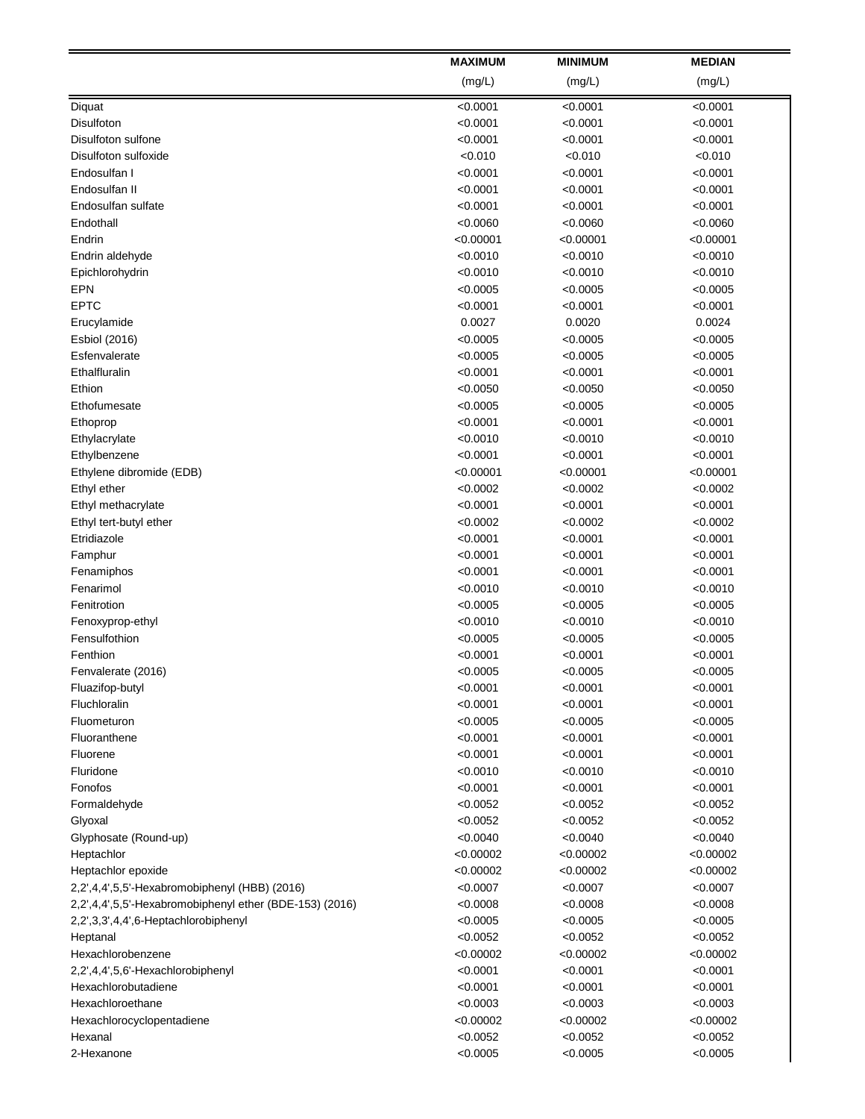|                                                         | <b>MAXIMUM</b>       | <b>MINIMUM</b>       | <b>MEDIAN</b>        |
|---------------------------------------------------------|----------------------|----------------------|----------------------|
|                                                         | (mg/L)               | (mg/L)               | (mg/L)               |
| Diquat                                                  | < 0.0001             | <0.0001              | < 0.0001             |
| Disulfoton                                              | < 0.0001             | < 0.0001             | < 0.0001             |
| Disulfoton sulfone                                      | < 0.0001             | <0.0001              | <0.0001              |
| Disulfoton sulfoxide                                    | < 0.010              | < 0.010              | < 0.010              |
| Endosulfan I                                            | < 0.0001             | < 0.0001             | < 0.0001             |
| Endosulfan II                                           | < 0.0001             | < 0.0001             | < 0.0001             |
| Endosulfan sulfate                                      | < 0.0001             | < 0.0001             | < 0.0001             |
| Endothall                                               | < 0.0060             | < 0.0060             | < 0.0060             |
| Endrin                                                  | < 0.00001            | < 0.00001            | < 0.00001            |
| Endrin aldehyde                                         | < 0.0010             | < 0.0010             | < 0.0010             |
| Epichlorohydrin                                         | < 0.0010             | < 0.0010             | < 0.0010             |
| <b>EPN</b>                                              | < 0.0005             | < 0.0005             | < 0.0005             |
| <b>EPTC</b>                                             | < 0.0001             | < 0.0001             | < 0.0001             |
| Erucylamide                                             | 0.0027               | 0.0020               | 0.0024               |
| Esbiol (2016)                                           | < 0.0005             | < 0.0005             | < 0.0005             |
| Esfenvalerate                                           | < 0.0005             | < 0.0005             | < 0.0005             |
| Ethalfluralin                                           | < 0.0001             | < 0.0001             | <0.0001              |
| Ethion                                                  | < 0.0050             | < 0.0050             | < 0.0050             |
| Ethofumesate                                            | < 0.0005             | < 0.0005             | < 0.0005             |
| Ethoprop                                                | < 0.0001             | < 0.0001             | < 0.0001             |
| Ethylacrylate                                           | < 0.0010             | < 0.0010             | < 0.0010             |
| Ethylbenzene                                            | < 0.0001             | < 0.0001             | < 0.0001             |
| Ethylene dibromide (EDB)                                | < 0.00001            | <0.00001             | < 0.00001            |
| Ethyl ether                                             | < 0.0002             | < 0.0002             | < 0.0002             |
| Ethyl methacrylate                                      | < 0.0001             | < 0.0001             | < 0.0001             |
| Ethyl tert-butyl ether                                  | < 0.0002             | < 0.0002             | < 0.0002             |
| Etridiazole                                             | < 0.0001             | < 0.0001             | < 0.0001             |
| Famphur                                                 | < 0.0001             | < 0.0001             | < 0.0001             |
| Fenamiphos                                              | < 0.0001             | < 0.0001             | <0.0001              |
| Fenarimol                                               | < 0.0010             | < 0.0010             | <0.0010              |
| Fenitrotion                                             | < 0.0005             | < 0.0005             | < 0.0005             |
| Fenoxyprop-ethyl                                        | < 0.0010             | < 0.0010             | < 0.0010             |
| Fensulfothion                                           | < 0.0005             | < 0.0005             | < 0.0005             |
| Fenthion                                                | < 0.0001             | < 0.0001             | < 0.0001             |
| Fenvalerate (2016)                                      | < 0.0005             | < 0.0005             | < 0.0005             |
| Fluazifop-butyl                                         | < 0.0001             | < 0.0001             | < 0.0001             |
| Fluchloralin                                            | < 0.0001             | < 0.0001             | <0.0001              |
| Fluometuron                                             | < 0.0005             | < 0.0005             | < 0.0005             |
| Fluoranthene<br>Fluorene                                | < 0.0001<br>< 0.0001 | < 0.0001             | < 0.0001<br>< 0.0001 |
| Fluridone                                               | < 0.0010             | < 0.0001<br>< 0.0010 | < 0.0010             |
| Fonofos                                                 | < 0.0001             | < 0.0001             | < 0.0001             |
| Formaldehyde                                            | < 0.0052             | < 0.0052             | < 0.0052             |
| Glyoxal                                                 | < 0.0052             | < 0.0052             | < 0.0052             |
| Glyphosate (Round-up)                                   | < 0.0040             | < 0.0040             | < 0.0040             |
| Heptachlor                                              | < 0.00002            | < 0.00002            | < 0.00002            |
| Heptachlor epoxide                                      | < 0.00002            | < 0.00002            | < 0.00002            |
| 2,2',4,4',5,5'-Hexabromobiphenyl (HBB) (2016)           | < 0.0007             | < 0.0007             | < 0.0007             |
| 2,2',4,4',5,5'-Hexabromobiphenyl ether (BDE-153) (2016) | < 0.0008             | < 0.0008             | < 0.0008             |
| 2,2',3,3',4,4',6-Heptachlorobiphenyl                    | < 0.0005             | < 0.0005             | < 0.0005             |
| Heptanal                                                | < 0.0052             | < 0.0052             | < 0.0052             |
| Hexachlorobenzene                                       | < 0.00002            | < 0.00002            | < 0.00002            |
| 2,2',4,4',5,6'-Hexachlorobiphenyl                       | < 0.0001             | < 0.0001             | < 0.0001             |
| Hexachlorobutadiene                                     | < 0.0001             | < 0.0001             | < 0.0001             |
| Hexachloroethane                                        | < 0.0003             | < 0.0003             | < 0.0003             |
| Hexachlorocyclopentadiene                               | < 0.00002            | < 0.00002            | < 0.00002            |
| Hexanal                                                 | < 0.0052             | < 0.0052             | < 0.0052             |
| 2-Hexanone                                              | < 0.0005             | < 0.0005             | < 0.0005             |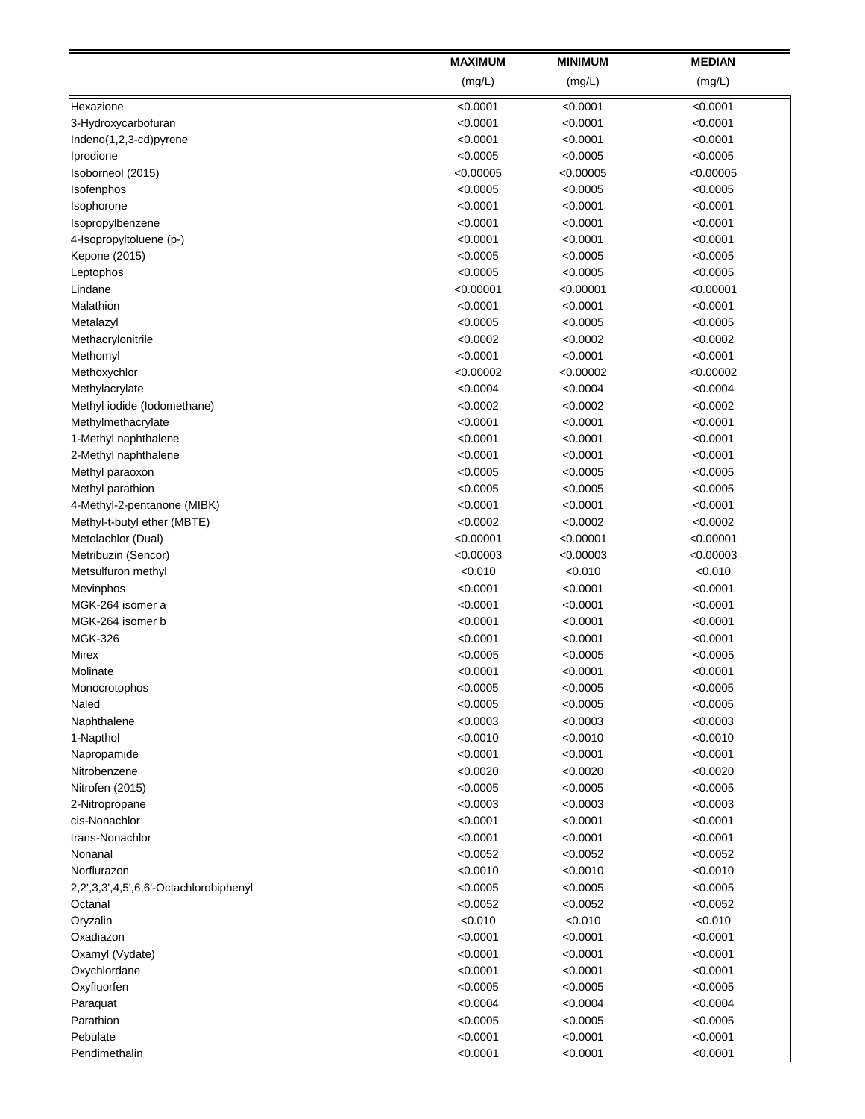|                                        | <b>MAXIMUM</b>      | <b>MINIMUM</b>       | <b>MEDIAN</b>        |
|----------------------------------------|---------------------|----------------------|----------------------|
|                                        | (mg/L)              | (mg/L)               | (mg/L)               |
| Hexazione                              | < 0.0001            | <0.0001              | < 0.0001             |
| 3-Hydroxycarbofuran                    | < 0.0001            | < 0.0001             | < 0.0001             |
| Indeno(1,2,3-cd)pyrene                 | < 0.0001            | < 0.0001             | < 0.0001             |
| Iprodione                              | < 0.0005            | < 0.0005             | < 0.0005             |
| Isoborneol (2015)                      | < 0.00005           | < 0.00005            | < 0.00005            |
| Isofenphos                             | < 0.0005            | < 0.0005             | < 0.0005             |
| Isophorone                             | < 0.0001            | < 0.0001             | < 0.0001             |
| Isopropylbenzene                       | < 0.0001            | < 0.0001             | < 0.0001             |
| 4-Isopropyltoluene (p-)                | < 0.0001            | < 0.0001             | < 0.0001             |
| Kepone (2015)                          | < 0.0005            | < 0.0005             | < 0.0005             |
| Leptophos                              | < 0.0005            | < 0.0005             | < 0.0005             |
| Lindane                                | < 0.00001           | < 0.00001            | < 0.00001            |
| Malathion                              | < 0.0001            | < 0.0001             | < 0.0001             |
| Metalazyl                              | < 0.0005            | < 0.0005             | < 0.0005             |
| Methacrylonitrile                      | < 0.0002            | < 0.0002             | < 0.0002             |
| Methomyl                               | < 0.0001            | < 0.0001             | < 0.0001             |
| Methoxychlor                           | < 0.00002           | < 0.00002            | < 0.00002            |
| Methylacrylate                         | < 0.0004            | < 0.0004             | < 0.0004             |
| Methyl iodide (lodomethane)            | < 0.0002            | < 0.0002             | < 0.0002             |
| Methylmethacrylate                     | < 0.0001            | < 0.0001             | < 0.0001             |
| 1-Methyl naphthalene                   | < 0.0001            | < 0.0001             | < 0.0001             |
| 2-Methyl naphthalene                   | < 0.0001            | < 0.0001             | < 0.0001             |
| Methyl paraoxon                        | < 0.0005            | < 0.0005             | <0.0005              |
| Methyl parathion                       | < 0.0005            | < 0.0005             | <0.0005              |
| 4-Methyl-2-pentanone (MIBK)            | < 0.0001            | < 0.0001             | < 0.0001             |
| Methyl-t-butyl ether (MBTE)            | < 0.0002            | < 0.0002             | < 0.0002             |
| Metolachlor (Dual)                     | < 0.00001           | < 0.00001            | < 0.00001            |
| Metribuzin (Sencor)                    | < 0.00003           | < 0.00003            | < 0.00003            |
| Metsulfuron methyl                     | < 0.010             | < 0.010              | < 0.010              |
| Mevinphos                              | < 0.0001            | < 0.0001             | <0.0001              |
| MGK-264 isomer a                       | < 0.0001            | < 0.0001             | < 0.0001             |
| MGK-264 isomer b                       | < 0.0001            | < 0.0001             | < 0.0001             |
| <b>MGK-326</b>                         | < 0.0001            | < 0.0001             | < 0.0001             |
| Mirex                                  | < 0.0005            | < 0.0005<br>< 0.0001 | < 0.0005<br>< 0.0001 |
| Molinate                               | < 0.0001            |                      |                      |
| Monocrotophos<br>Naled                 | <0.0005<br>< 0.0005 | < 0.0005<br>< 0.0005 | < 0.0005<br>< 0.0005 |
| Naphthalene                            | < 0.0003            | < 0.0003             | < 0.0003             |
| 1-Napthol                              | < 0.0010            | < 0.0010             | < 0.0010             |
| Napropamide                            | < 0.0001            | < 0.0001             | < 0.0001             |
| Nitrobenzene                           | < 0.0020            | < 0.0020             | < 0.0020             |
| Nitrofen (2015)                        | < 0.0005            | < 0.0005             | < 0.0005             |
| 2-Nitropropane                         | < 0.0003            | < 0.0003             | < 0.0003             |
| cis-Nonachlor                          | < 0.0001            | < 0.0001             | < 0.0001             |
| trans-Nonachlor                        | < 0.0001            | < 0.0001             | < 0.0001             |
| Nonanal                                | < 0.0052            | < 0.0052             | < 0.0052             |
| Norflurazon                            | < 0.0010            | < 0.0010             | < 0.0010             |
| 2,2',3,3',4,5',6,6'-Octachlorobiphenyl | < 0.0005            | < 0.0005             | <0.0005              |
| Octanal                                | < 0.0052            | < 0.0052             | <0.0052              |
| Oryzalin                               | < 0.010             | < 0.010              | < 0.010              |
| Oxadiazon                              | < 0.0001            | < 0.0001             | < 0.0001             |
| Oxamyl (Vydate)                        | < 0.0001            | < 0.0001             | < 0.0001             |
| Oxychlordane                           | < 0.0001            | < 0.0001             | < 0.0001             |
| Oxyfluorfen                            | < 0.0005            | < 0.0005             | < 0.0005             |
| Paraquat                               | < 0.0004            | < 0.0004             | <0.0004              |
| Parathion                              | < 0.0005            | < 0.0005             | < 0.0005             |
| Pebulate                               | < 0.0001            | < 0.0001             | < 0.0001             |
| Pendimethalin                          | < 0.0001            | < 0.0001             | < 0.0001             |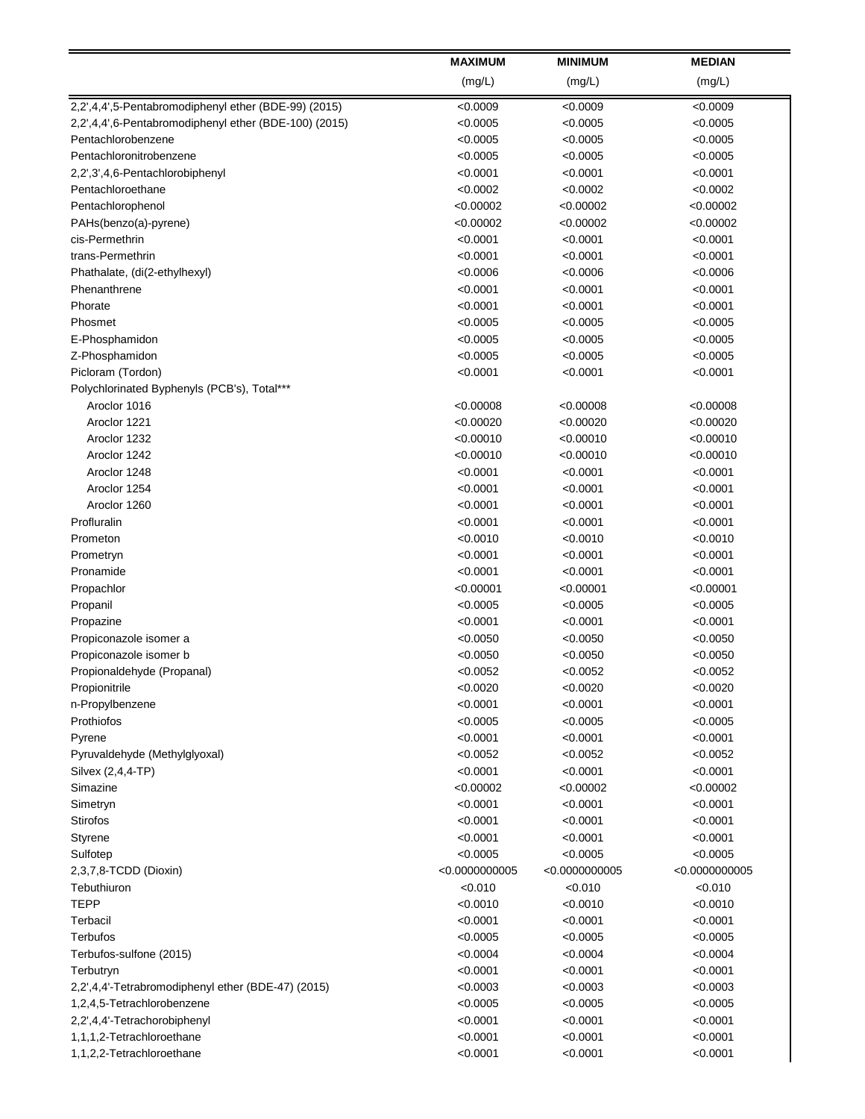|                                                       | <b>MAXIMUM</b> | <b>MINIMUM</b> | <b>MEDIAN</b>   |
|-------------------------------------------------------|----------------|----------------|-----------------|
|                                                       | (mg/L)         | (mg/L)         | (mg/L)          |
| 2,2',4,4',5-Pentabromodiphenyl ether (BDE-99) (2015)  | < 0.0009       | <0.0009        | < 0.0009        |
| 2,2',4,4',6-Pentabromodiphenyl ether (BDE-100) (2015) | < 0.0005       | < 0.0005       | < 0.0005        |
| Pentachlorobenzene                                    | < 0.0005       | < 0.0005       | < 0.0005        |
| Pentachloronitrobenzene                               | < 0.0005       | < 0.0005       | < 0.0005        |
| 2,2',3',4,6-Pentachlorobiphenyl                       | < 0.0001       | <0.0001        | < 0.0001        |
| Pentachloroethane                                     | < 0.0002       | < 0.0002       | < 0.0002        |
| Pentachlorophenol                                     | < 0.00002      | < 0.00002      | < 0.00002       |
| PAHs(benzo(a)-pyrene)                                 | < 0.00002      | < 0.00002      | <0.00002        |
| cis-Permethrin                                        | < 0.0001       | < 0.0001       | < 0.0001        |
| trans-Permethrin                                      | < 0.0001       | < 0.0001       | < 0.0001        |
| Phathalate, (di(2-ethylhexyl)                         | < 0.0006       | < 0.0006       | < 0.0006        |
| Phenanthrene                                          | < 0.0001       | < 0.0001       | < 0.0001        |
| Phorate                                               | < 0.0001       | < 0.0001       | < 0.0001        |
| Phosmet                                               | < 0.0005       | < 0.0005       | < 0.0005        |
| E-Phosphamidon                                        | < 0.0005       | < 0.0005       | < 0.0005        |
| Z-Phosphamidon                                        | < 0.0005       | < 0.0005       | < 0.0005        |
| Picloram (Tordon)                                     | < 0.0001       | < 0.0001       | < 0.0001        |
| Polychlorinated Byphenyls (PCB's), Total***           |                |                |                 |
| Aroclor 1016                                          | < 0.00008      | < 0.00008      | < 0.00008       |
| Aroclor 1221                                          | < 0.00020      | < 0.00020      | < 0.00020       |
| Aroclor 1232                                          | < 0.00010      | <0.00010       | < 0.00010       |
| Aroclor 1242                                          | < 0.00010      | < 0.00010      | < 0.00010       |
| Aroclor 1248                                          | < 0.0001       | < 0.0001       | < 0.0001        |
| Aroclor 1254                                          | < 0.0001       | < 0.0001       | < 0.0001        |
| Aroclor 1260                                          | < 0.0001       | < 0.0001       | < 0.0001        |
| Profluralin                                           | < 0.0001       | < 0.0001       | < 0.0001        |
| Prometon                                              | < 0.0010       | < 0.0010       | < 0.0010        |
| Prometryn                                             | < 0.0001       | < 0.0001       | < 0.0001        |
| Pronamide                                             | < 0.0001       | < 0.0001       | < 0.0001        |
| Propachlor                                            | < 0.00001      | <0.00001       | <0.00001        |
| Propanil                                              | < 0.0005       | < 0.0005       | < 0.0005        |
| Propazine                                             | < 0.0001       | < 0.0001       | < 0.0001        |
| Propiconazole isomer a                                | < 0.0050       | < 0.0050       | < 0.0050        |
| Propiconazole isomer b                                | < 0.0050       | < 0.0050       | < 0.0050        |
| Propionaldehyde (Propanal)                            | < 0.0052       | < 0.0052       | < 0.0052        |
| Propionitrile                                         | < 0.0020       | < 0.0020       | < 0.0020        |
| n-Propylbenzene                                       | < 0.0001       | <0.0001        | < 0.0001        |
| Prothiofos                                            | < 0.0005       | < 0.0005       | < 0.0005        |
| Pyrene                                                | < 0.0001       | < 0.0001       | < 0.0001        |
| Pyruvaldehyde (Methylglyoxal)                         | < 0.0052       | <0.0052        | < 0.0052        |
| Silvex (2,4,4-TP)                                     | < 0.0001       | < 0.0001       | < 0.0001        |
| Simazine                                              | < 0.00002      | <0.00002       | <0.00002        |
| Simetryn                                              | < 0.0001       | < 0.0001       | < 0.0001        |
| Stirofos                                              | < 0.0001       | <0.0001        | < 0.0001        |
| Styrene                                               | < 0.0001       | < 0.0001       | < 0.0001        |
| Sulfotep                                              | < 0.0005       | < 0.0005       | < 0.0005        |
| 2,3,7,8-TCDD (Dioxin)                                 | < 0.0000000005 | < 0.0000000005 | < 0.00000000005 |
| Tebuthiuron                                           | < 0.010        | < 0.010        | < 0.010         |
| <b>TEPP</b>                                           | < 0.0010       | <0.0010        | < 0.0010        |
| Terbacil                                              | < 0.0001       | <0.0001        | < 0.0001        |
| Terbufos                                              | < 0.0005       | < 0.0005       | < 0.0005        |
| Terbufos-sulfone (2015)                               | < 0.0004       | < 0.0004       | < 0.0004        |
| Terbutryn                                             | < 0.0001       | < 0.0001       | < 0.0001        |
| 2,2',4,4'-Tetrabromodiphenyl ether (BDE-47) (2015)    | < 0.0003       | < 0.0003       | < 0.0003        |
| 1,2,4,5-Tetrachlorobenzene                            | < 0.0005       | < 0.0005       | < 0.0005        |
| 2,2',4,4'-Tetrachorobiphenyl                          | < 0.0001       | < 0.0001       | < 0.0001        |
| 1,1,1,2-Tetrachloroethane                             | < 0.0001       | < 0.0001       | < 0.0001        |
| 1,1,2,2-Tetrachloroethane                             | < 0.0001       | < 0.0001       | < 0.0001        |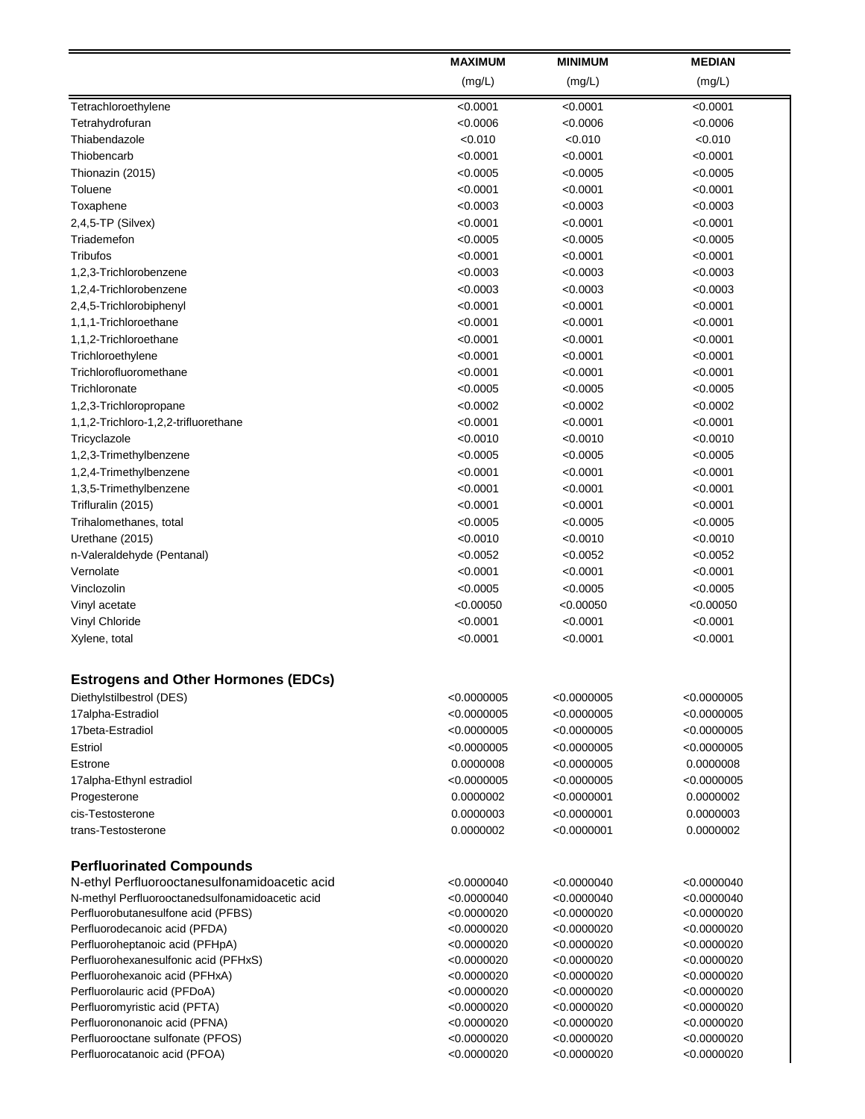|                                                               | <b>MAXIMUM</b>             | <b>MINIMUM</b>             | <b>MEDIAN</b>              |
|---------------------------------------------------------------|----------------------------|----------------------------|----------------------------|
|                                                               | (mg/L)                     | (mg/L)                     | (mg/L)                     |
| Tetrachloroethylene                                           | < 0.0001                   | < 0.0001                   | < 0.0001                   |
| Tetrahydrofuran                                               | < 0.0006                   | < 0.0006                   | < 0.0006                   |
| Thiabendazole                                                 | < 0.010                    | < 0.010                    | < 0.010                    |
| Thiobencarb                                                   | < 0.0001                   | < 0.0001                   | < 0.0001                   |
| Thionazin (2015)                                              | < 0.0005                   | < 0.0005                   | < 0.0005                   |
| Toluene                                                       | < 0.0001                   | < 0.0001                   | < 0.0001                   |
| Toxaphene                                                     | < 0.0003                   | < 0.0003                   | < 0.0003                   |
| 2,4,5-TP (Silvex)                                             | < 0.0001                   | < 0.0001                   | < 0.0001                   |
| Triademefon                                                   | < 0.0005                   | < 0.0005                   | < 0.0005                   |
| Tribufos                                                      | < 0.0001                   | < 0.0001                   | < 0.0001                   |
| 1,2,3-Trichlorobenzene                                        | < 0.0003                   | < 0.0003                   | < 0.0003                   |
| 1,2,4-Trichlorobenzene                                        | < 0.0003                   | < 0.0003                   | < 0.0003                   |
| 2,4,5-Trichlorobiphenyl                                       | < 0.0001                   | < 0.0001                   | < 0.0001                   |
| 1,1,1-Trichloroethane                                         | < 0.0001                   | < 0.0001                   | < 0.0001                   |
| 1,1,2-Trichloroethane                                         | < 0.0001                   | < 0.0001                   | < 0.0001                   |
| Trichloroethylene                                             | < 0.0001                   | < 0.0001                   | < 0.0001                   |
| Trichlorofluoromethane                                        | < 0.0001                   | < 0.0001                   | < 0.0001                   |
| Trichloronate                                                 | < 0.0005                   | < 0.0005                   | < 0.0005                   |
| 1,2,3-Trichloropropane                                        | < 0.0002                   | < 0.0002                   | < 0.0002                   |
| 1,1,2-Trichloro-1,2,2-trifluorethane                          | < 0.0001                   | < 0.0001                   | < 0.0001                   |
| Tricyclazole                                                  | < 0.0010                   | < 0.0010                   | < 0.0010                   |
| 1,2,3-Trimethylbenzene                                        | < 0.0005                   | < 0.0005                   | < 0.0005                   |
| 1,2,4-Trimethylbenzene                                        | < 0.0001                   | < 0.0001                   | < 0.0001                   |
| 1,3,5-Trimethylbenzene                                        | < 0.0001                   | < 0.0001                   | < 0.0001                   |
| Trifluralin (2015)                                            | < 0.0001                   | < 0.0001                   | < 0.0001                   |
| Trihalomethanes, total                                        | < 0.0005                   | < 0.0005                   | < 0.0005                   |
| Urethane (2015)                                               | < 0.0010                   | < 0.0010                   | < 0.0010                   |
| n-Valeraldehyde (Pentanal)                                    | < 0.0052                   | < 0.0052                   | < 0.0052                   |
| Vernolate                                                     | < 0.0001                   | < 0.0001                   | < 0.0001                   |
| Vinclozolin                                                   | < 0.0005                   | < 0.0005                   | < 0.0005                   |
| Vinyl acetate                                                 | < 0.00050                  | < 0.00050                  | <0.00050                   |
| Vinyl Chloride                                                | < 0.0001                   | < 0.0001                   | < 0.0001                   |
| Xylene, total                                                 | < 0.0001                   | < 0.0001                   | < 0.0001                   |
| <b>Estrogens and Other Hormones (EDCs)</b>                    |                            |                            |                            |
| Diethylstilbestrol (DES)                                      | < 0.0000005                | < 0.0000005                | < 0.0000005                |
| 17alpha-Estradiol                                             | < 0.0000005                | < 0.0000005                | < 0.0000005                |
| 17beta-Estradiol                                              | < 0.0000005                | < 0.0000005                | < 0.0000005                |
| Estriol                                                       | < 0.0000005                | < 0.0000005                | < 0.0000005                |
| Estrone                                                       | 0.0000008                  | < 0.0000005                | 0.0000008                  |
| 17alpha-Ethynl estradiol                                      | < 0.0000005                | < 0.0000005                | < 0.0000005                |
| Progesterone                                                  | 0.0000002                  | < 0.0000001                | 0.0000002                  |
| cis-Testosterone                                              | 0.0000003                  | < 0.0000001                | 0.0000003                  |
| trans-Testosterone                                            | 0.0000002                  | $<$ 0.0000001              | 0.0000002                  |
| <b>Perfluorinated Compounds</b>                               |                            |                            |                            |
| N-ethyl Perfluorooctanesulfonamidoacetic acid                 | < 0.0000040                | <0.0000040                 | < 0.0000040                |
| N-methyl Perfluorooctanedsulfonamidoacetic acid               | < 0.0000040                | <0.0000040                 | < 0.0000040                |
| Perfluorobutanesulfone acid (PFBS)                            | < 0.0000020                | < 0.0000020                | < 0.0000020                |
| Perfluorodecanoic acid (PFDA)                                 | < 0.0000020                | <0.0000020                 | < 0.0000020                |
| Perfluoroheptanoic acid (PFHpA)                               | < 0.0000020                | <0.0000020                 | < 0.0000020                |
| Perfluorohexanesulfonic acid (PFHxS)                          | < 0.0000020                | < 0.0000020                | < 0.0000020                |
| Perfluorohexanoic acid (PFHxA)                                | < 0.0000020                | <0.0000020                 | < 0.0000020                |
| Perfluorolauric acid (PFDoA)<br>Perfluoromyristic acid (PFTA) | < 0.0000020<br>< 0.0000020 | < 0.0000020<br>< 0.0000020 | < 0.0000020<br>< 0.0000020 |
| Perfluorononanoic acid (PFNA)                                 | < 0.0000020                | < 0.0000020                | < 0.0000020                |
| Perfluorooctane sulfonate (PFOS)                              | < 0.0000020                | <0.0000020                 | < 0.0000020                |
| Perfluorocatanoic acid (PFOA)                                 | < 0.0000020                | < 0.0000020                | < 0.0000020                |
|                                                               |                            |                            |                            |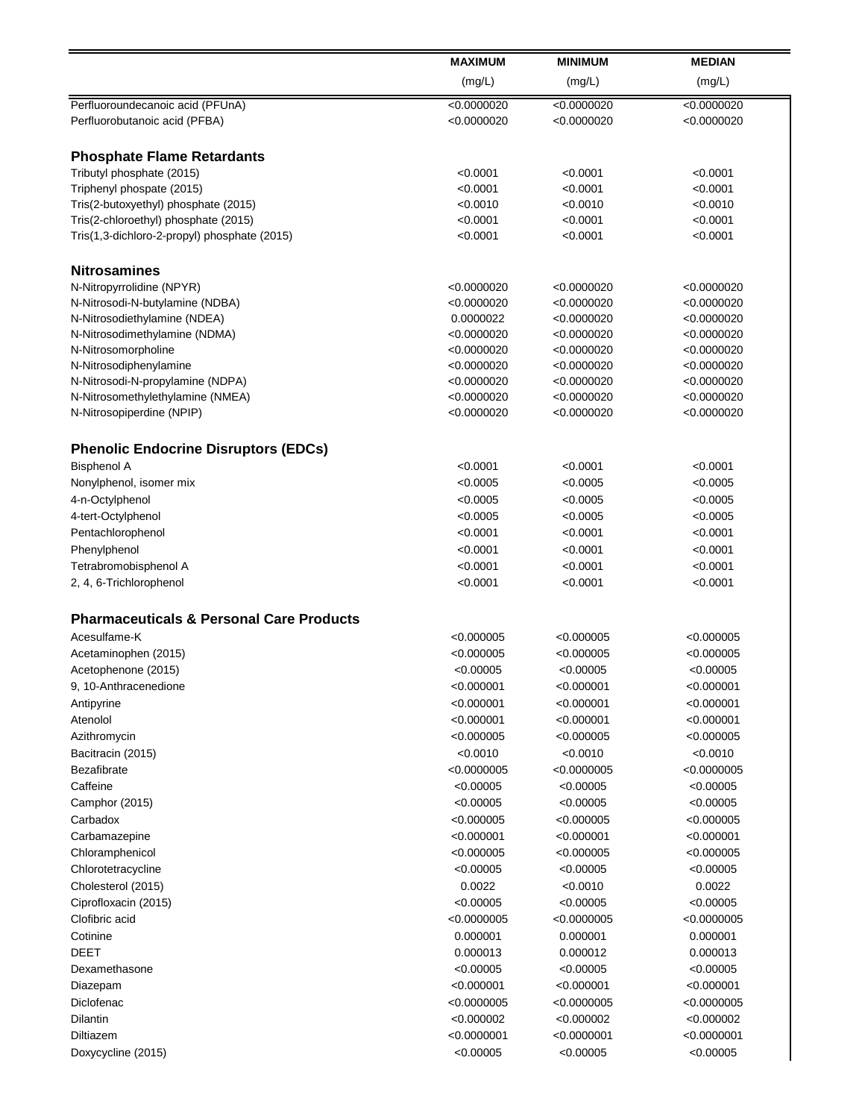|                                                     | <b>MAXIMUM</b><br>(mg/L) | <b>MINIMUM</b> | <b>MEDIAN</b> |
|-----------------------------------------------------|--------------------------|----------------|---------------|
|                                                     |                          | (mg/L)         | (mg/L)        |
| Perfluoroundecanoic acid (PFUnA)                    | < 0.0000020              | < 0.0000020    | < 0.0000020   |
| Perfluorobutanoic acid (PFBA)                       | < 0.0000020              | < 0.0000020    | < 0.0000020   |
| <b>Phosphate Flame Retardants</b>                   |                          |                |               |
| Tributyl phosphate (2015)                           | < 0.0001                 | < 0.0001       | < 0.0001      |
| Triphenyl phospate (2015)                           | < 0.0001                 | < 0.0001       | < 0.0001      |
| Tris(2-butoxyethyl) phosphate (2015)                | < 0.0010                 | < 0.0010       | < 0.0010      |
| Tris(2-chloroethyl) phosphate (2015)                | < 0.0001                 | < 0.0001       | < 0.0001      |
| Tris(1,3-dichloro-2-propyl) phosphate (2015)        | < 0.0001                 | < 0.0001       | < 0.0001      |
| <b>Nitrosamines</b>                                 |                          |                |               |
| N-Nitropyrrolidine (NPYR)                           | < 0.0000020              | < 0.0000020    | <0.0000020    |
| N-Nitrosodi-N-butylamine (NDBA)                     | < 0.0000020              | < 0.0000020    | < 0.0000020   |
| N-Nitrosodiethylamine (NDEA)                        | 0.0000022                | < 0.0000020    | <0.0000020    |
| N-Nitrosodimethylamine (NDMA)                       | < 0.0000020              | < 0.0000020    | < 0.0000020   |
| N-Nitrosomorpholine                                 | < 0.0000020              | < 0.0000020    | < 0.0000020   |
| N-Nitrosodiphenylamine                              | < 0.0000020              | < 0.0000020    | < 0.0000020   |
| N-Nitrosodi-N-propylamine (NDPA)                    | < 0.0000020              | < 0.0000020    | < 0.0000020   |
| N-Nitrosomethylethylamine (NMEA)                    | < 0.0000020              | < 0.0000020    | < 0.0000020   |
| N-Nitrosopiperdine (NPIP)                           | < 0.0000020              | < 0.0000020    | < 0.0000020   |
|                                                     |                          |                |               |
| <b>Phenolic Endocrine Disruptors (EDCs)</b>         |                          |                |               |
| <b>Bisphenol A</b>                                  | < 0.0001                 | < 0.0001       | < 0.0001      |
| Nonylphenol, isomer mix                             | < 0.0005                 | < 0.0005       | < 0.0005      |
| 4-n-Octylphenol                                     | < 0.0005                 | < 0.0005       | < 0.0005      |
| 4-tert-Octylphenol                                  | < 0.0005                 | < 0.0005       | < 0.0005      |
| Pentachlorophenol                                   | < 0.0001                 | < 0.0001       | < 0.0001      |
| Phenylphenol                                        | < 0.0001                 | < 0.0001       | < 0.0001      |
| Tetrabromobisphenol A                               | < 0.0001                 | < 0.0001       | < 0.0001      |
| 2, 4, 6-Trichlorophenol                             | < 0.0001                 | < 0.0001       | < 0.0001      |
| <b>Pharmaceuticals &amp; Personal Care Products</b> |                          |                |               |
| Acesulfame-K                                        | < 0.000005               | < 0.000005     | < 0.000005    |
| Acetaminophen (2015)                                | < 0.000005               | < 0.000005     | < 0.000005    |
| Acetophenone (2015)                                 | < 0.00005                | < 0.00005      | < 0.00005     |
| 9, 10-Anthracenedione                               | < 0.000001               | < 0.000001     | < 0.000001    |
|                                                     | <0.000001                | <0.000001      | < 0.000001    |
| Antipyrine<br>Atenolol                              | < 0.000001               | < 0.000001     | < 0.000001    |
|                                                     |                          |                |               |
| Azithromycin                                        | <0.000005                | <0.000005      | < 0.000005    |
| Bacitracin (2015)                                   | < 0.0010                 | < 0.0010       | < 0.0010      |
| Bezafibrate                                         | < 0.0000005              | < 0.0000005    | < 0.0000005   |
| Caffeine                                            | < 0.00005                | < 0.00005      | < 0.00005     |
| Camphor (2015)                                      | < 0.00005                | < 0.00005      | < 0.00005     |
| Carbadox                                            | <0.000005                | <0.000005      | < 0.000005    |
| Carbamazepine                                       | < 0.000001               | <0.000001      | $<$ 0.000001  |
| Chloramphenicol                                     | <0.000005                | < 0.000005     | < 0.000005    |
| Chlorotetracycline                                  | < 0.00005                | < 0.00005      | <0.00005      |
| Cholesterol (2015)                                  | 0.0022                   | < 0.0010       | 0.0022        |
| Ciprofloxacin (2015)                                | < 0.00005                | < 0.00005      | < 0.00005     |
| Clofibric acid                                      | < 0.0000005              | < 0.0000005    | < 0.0000005   |
| Cotinine                                            | 0.000001                 | 0.000001       | 0.000001      |
| DEET                                                | 0.000013                 | 0.000012       | 0.000013      |
| Dexamethasone                                       | < 0.00005                | < 0.00005      | < 0.00005     |
| Diazepam                                            | < 0.000001               | < 0.000001     | < 0.000001    |
| Diclofenac                                          | < 0.0000005              | < 0.0000005    | < 0.0000005   |
| Dilantin                                            | < 0.000002               | < 0.000002     | < 0.000002    |
| Diltiazem                                           | < 0.0000001              | < 0.0000001    | $<$ 0.0000001 |
|                                                     | < 0.00005                | < 0.00005      | < 0.00005     |
| Doxycycline (2015)                                  |                          |                |               |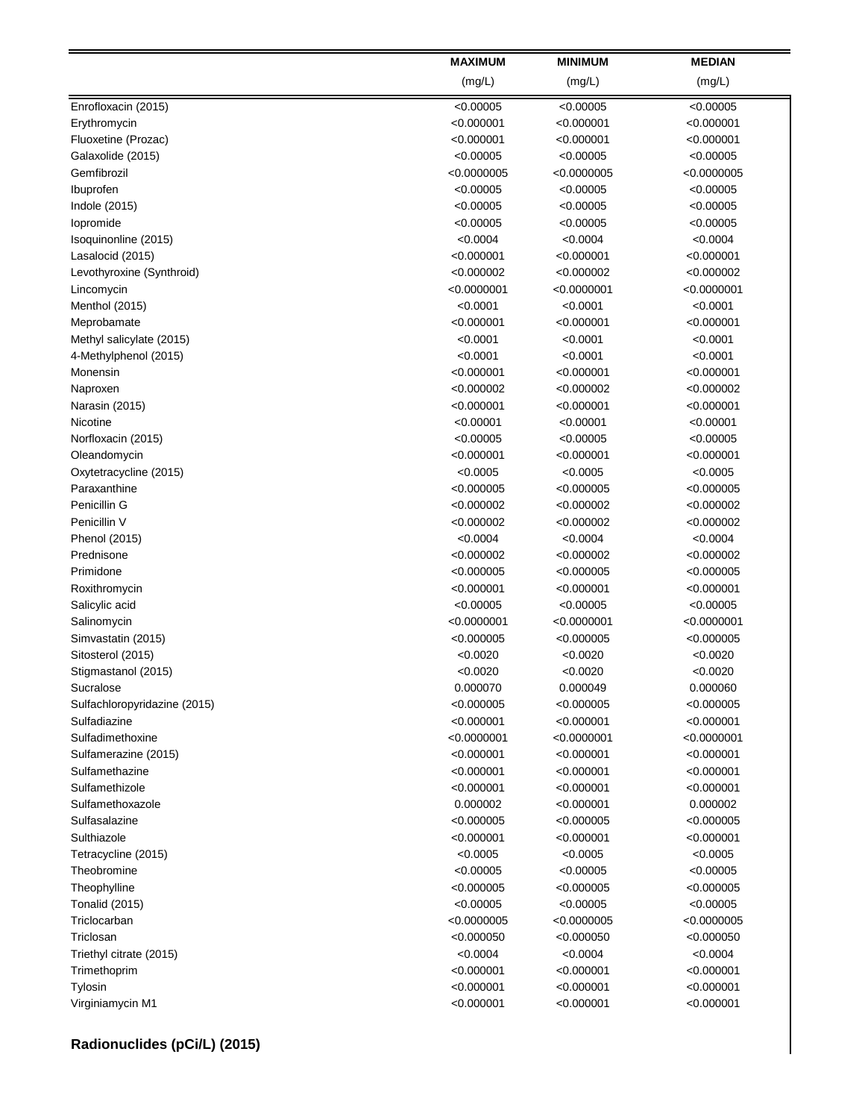|                              | <b>MAXIMUM</b> | <b>MINIMUM</b> | <b>MEDIAN</b> |
|------------------------------|----------------|----------------|---------------|
|                              | (mg/L)         | (mg/L)         | (mg/L)        |
| Enrofloxacin (2015)          | < 0.00005      | < 0.00005      | < 0.00005     |
| Erythromycin                 | < 0.000001     | < 0.000001     | < 0.000001    |
| Fluoxetine (Prozac)          | < 0.000001     | <0.000001      | $<$ 0.000001  |
| Galaxolide (2015)            | < 0.00005      | < 0.00005      | < 0.00005     |
| Gemfibrozil                  | < 0.0000005    | <0.0000005     | < 0.0000005   |
| Ibuprofen                    | < 0.00005      | < 0.00005      | < 0.00005     |
| Indole (2015)                | < 0.00005      | < 0.00005      | < 0.00005     |
| lopromide                    | < 0.00005      | < 0.00005      | < 0.00005     |
| Isoquinonline (2015)         | < 0.0004       | < 0.0004       | < 0.0004      |
| Lasalocid (2015)             | < 0.000001     | < 0.000001     | $<$ 0.000001  |
| Levothyroxine (Synthroid)    | < 0.000002     | < 0.000002     | < 0.000002    |
| Lincomycin                   | < 0.0000001    | < 0.0000001    | < 0.0000001   |
| Menthol (2015)               | < 0.0001       | < 0.0001       | < 0.0001      |
| Meprobamate                  | < 0.000001     | < 0.000001     | < 0.000001    |
| Methyl salicylate (2015)     | < 0.0001       | < 0.0001       | < 0.0001      |
| 4-Methylphenol (2015)        | < 0.0001       | < 0.0001       | < 0.0001      |
| Monensin                     | < 0.000001     | < 0.000001     | $<$ 0.000001  |
| Naproxen                     | < 0.000002     | <0.000002      | <0.000002     |
| Narasin (2015)               | < 0.000001     | < 0.000001     | <0.000001     |
| Nicotine                     | < 0.00001      | < 0.00001      | < 0.00001     |
| Norfloxacin (2015)           | < 0.00005      | < 0.00005      | < 0.00005     |
| Oleandomycin                 | < 0.000001     | <0.000001      | < 0.000001    |
| Oxytetracycline (2015)       | < 0.0005       | < 0.0005       | < 0.0005      |
| Paraxanthine                 | < 0.000005     | < 0.000005     | <0.000005     |
| Penicillin G                 | < 0.000002     | <0.000002      | < 0.000002    |
| Penicillin V                 | < 0.000002     | < 0.000002     | < 0.000002    |
| Phenol (2015)                | < 0.0004       | < 0.0004       | < 0.0004      |
| Prednisone                   | < 0.000002     | < 0.000002     | < 0.000002    |
| Primidone                    | < 0.000005     | < 0.000005     | < 0.000005    |
| Roxithromycin                | < 0.000001     | $<$ 0.000001   | < 0.000001    |
| Salicylic acid               | < 0.00005      | < 0.00005      | < 0.00005     |
| Salinomycin                  | < 0.0000001    | < 0.0000001    | < 0.0000001   |
| Simvastatin (2015)           | < 0.000005     | < 0.000005     | < 0.000005    |
| Sitosterol (2015)            | < 0.0020       | < 0.0020       | < 0.0020      |
| Stigmastanol (2015)          | < 0.0020       | < 0.0020       | < 0.0020      |
| Sucralose                    | 0.000070       | 0.000049       | 0.000060      |
| Sulfachloropyridazine (2015) | < 0.000005     | <0.000005      | <0.000005     |
| Sulfadiazine                 | < 0.000001     | < 0.000001     | < 0.000001    |
| Sulfadimethoxine             | < 0.0000001    | <0.0000001     | <0.0000001    |
| Sulfamerazine (2015)         | < 0.000001     | <0.000001      | < 0.000001    |
| Sulfamethazine               | < 0.000001     | < 0.000001     | < 0.000001    |
| Sulfamethizole               | < 0.000001     | <0.000001      | $<$ 0.000001  |
| Sulfamethoxazole             | 0.000002       | <0.000001      | 0.000002      |
| Sulfasalazine                | < 0.000005     | <0.000005      | <0.000005     |
| Sulthiazole                  | < 0.000001     | <0.000001      | <0.000001     |
| Tetracycline (2015)          | < 0.0005       | < 0.0005       | < 0.0005      |
| Theobromine                  | < 0.00005      | < 0.00005      | < 0.00005     |
| Theophylline                 | < 0.000005     | <0.000005      | <0.000005     |
| <b>Tonalid (2015)</b>        | < 0.00005      | < 0.00005      | < 0.00005     |
| Triclocarban                 | < 0.0000005    | <0.0000005     | <0.0000005    |
| Triclosan                    | < 0.000050     | <0.000050      | <0.000050     |
| Triethyl citrate (2015)      | < 0.0004       | < 0.0004       | < 0.0004      |
| Trimethoprim                 | < 0.000001     | <0.000001      | <0.000001     |
| Tylosin                      | < 0.000001     | < 0.000001     | < 0.000001    |
| Virginiamycin M1             | < 0.000001     | < 0.000001     | < 0.000001    |